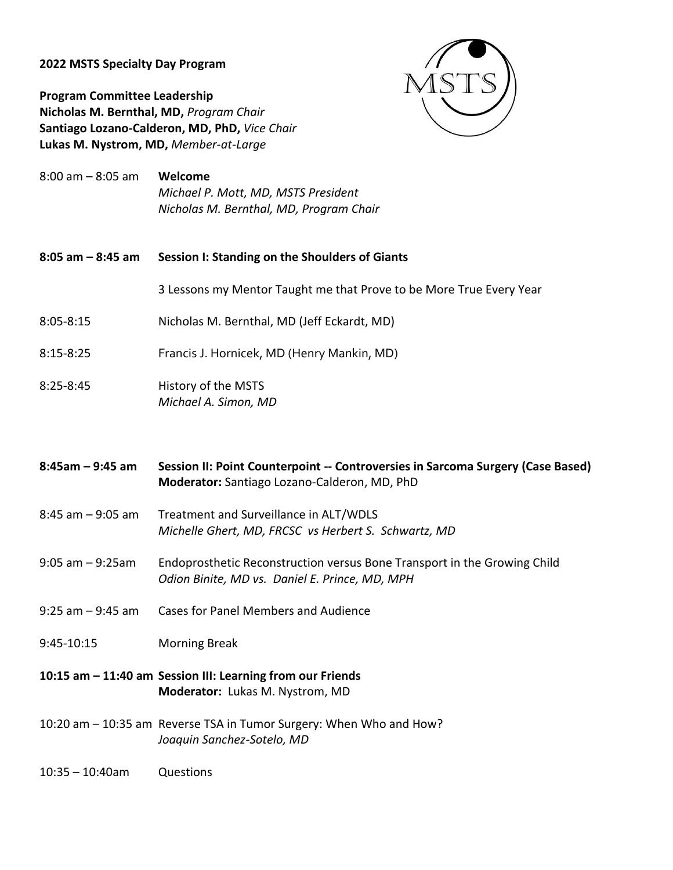## **2022 MSTS Specialty Day Program**



**Program Committee Leadership Nicholas M. Bernthal, MD,** *Program Chair*  **Santiago Lozano-Calderon, MD, PhD,** *Vice Chair*  **Lukas M. Nystrom, MD,** *Member-at-Large* 

- 8:00 am 8:05 am **Welcome**  *Michael P. Mott, MD, MSTS President Nicholas M. Bernthal, MD, Program Chair*
- **8:05 am – 8:45 am Session I: Standing on the Shoulders of Giants** 
	- 3 Lessons my Mentor Taught me that Prove to be More True Every Year
- 8:05-8:15 Nicholas M. Bernthal, MD (Jeff Eckardt, MD)
- 8:15-8:25 Francis J. Hornicek, MD (Henry Mankin, MD)
- 8:25-8:45 History of the MSTS *Michael A. Simon, MD*
- **8:45am – 9:45 am Session II: Point Counterpoint -- Controversies in Sarcoma Surgery (Case Based) Moderator:** Santiago Lozano-Calderon, MD, PhD
- 8:45 am 9:05 am Treatment and Surveillance in ALT/WDLS *Michelle Ghert, MD, FRCSC vs Herbert S. Schwartz, MD*
- 9:05 am 9:25am Endoprosthetic Reconstruction versus Bone Transport in the Growing Child *Odion Binite, MD vs. Daniel E. Prince, MD, MPH*
- 9:25 am 9:45 am Cases for Panel Members and Audience
- 9:45-10:15 Morning Break
- **10:15 am – 11:40 am Session III: Learning from our Friends Moderator:** Lukas M. Nystrom, MD
- 10:20 am 10:35 am Reverse TSA in Tumor Surgery: When Who and How? *Joaquin Sanchez-Sotelo, MD*
- 10:35 10:40am Questions